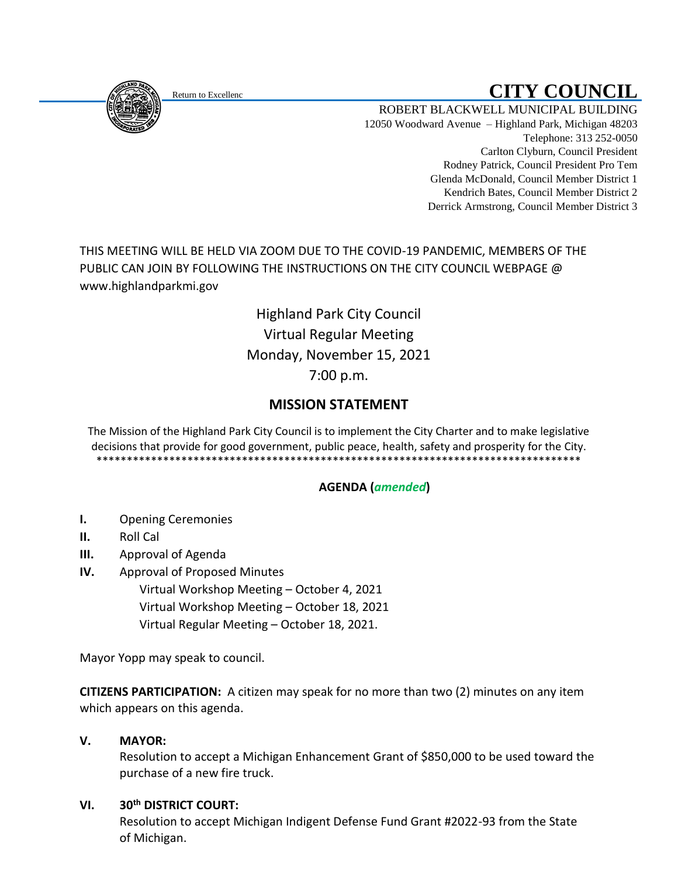<span id="page-0-0"></span>

# Return to Excellenc **Return to Excellenc**

ROBERT BLACKWELL MUNICIPAL BUILDING 12050 Woodward Avenue – Highland Park, Michigan 48203 Telephone: 313 252-0050 Carlton Clyburn, Council President Rodney Patrick, Council President Pro Tem Glenda McDonald, Council Member District 1 Kendrich Bates, Council Member District 2 Derrick Armstrong, Council Member District 3

THIS MEETING WILL BE HELD VIA ZOOM DUE TO THE COVID-19 PANDEMIC, MEMBERS OF THE PUBLIC CAN JOIN BY FOLLOWING THE INSTRUCTIONS ON THE CITY COUNCIL WEBPAGE @ www.highlandparkmi.gov

> Highland Park City Council Virtual Regular Meeting Monday, November 15, 2021 7:00 p.m.

# **MISSION STATEMENT**

The Mission of the Highland Park City Council is to implement the City Charter and to make legislative decisions that provide for good government, public peace, health, safety and prosperity for the City. \*\*\*\*\*\*\*\*\*\*\*\*\*\*\*\*\*\*\*\*\*\*\*\*\*\*\*\*\*\*\*\*\*\*\*\*\*\*\*\*\*\*\*\*\*\*\*\*\*\*\*\*\*\*\*\*\*\*\*\*\*\*\*\*\*\*\*\*\*\*\*\*\*\*\*\*\*\*\*\*

## **AGENDA (***amended***)**

- **I.** Opening Ceremonies
- **II.** Roll Cal
- **III.** Approval of Agenda
- **IV.** Approval of Proposed Minutes
	- Virtual Workshop Meeting October 4, 2021 Virtual Workshop Meeting – October 18, 2021 Virtual Regular Meeting – October 18, 2021.

Mayor Yopp may speak to council.

**CITIZENS PARTICIPATION:** A citizen may speak for no more than two (2) minutes on any item which appears on this agenda.

## **V. MAYOR:**

Resolution to accept a Michigan Enhancement Grant of \$850,000 to be used toward the purchase of a new fire truck.

## **VI. 30th DISTRICT COURT:**

 Resolution to accept Michigan Indigent Defense Fund Grant #2022-93 from the State of Michigan.